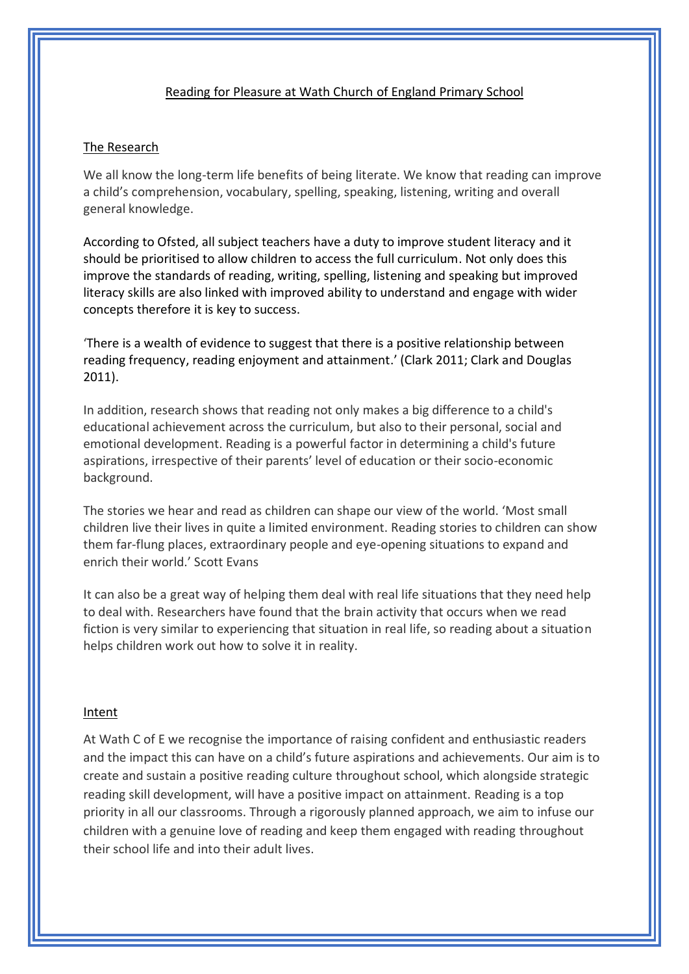## Reading for Pleasure at Wath Church of England Primary School

## The Research

We all know the long-term life benefits of being literate. We know that reading can improve a child's comprehension, vocabulary, spelling, speaking, listening, writing and overall general knowledge.

According to Ofsted, all subject teachers have a duty to improve student literacy and it should be prioritised to allow children to access the full curriculum. Not only does this improve the standards of reading, writing, spelling, listening and speaking but improved literacy skills are also linked with improved ability to understand and engage with wider concepts therefore it is key to success.

'There is a wealth of evidence to suggest that there is a positive relationship between reading frequency, reading enjoyment and attainment.' (Clark 2011; Clark and Douglas 2011).

In addition, research shows that reading not only makes a big difference to a child's educational achievement across the curriculum, but also to their personal, social and emotional development. Reading is a powerful factor in determining a child's future aspirations, irrespective of their parents' level of education or their socio-economic background.

The stories we hear and read as children can shape our view of the world. 'Most small children live their lives in quite a limited environment. Reading stories to children can show them far-flung places, extraordinary people and eye-opening situations to expand and enrich their world.' Scott Evans

It can also be a great way of helping them deal with real life situations that they need help to deal with. Researchers have found that the brain activity that occurs when we read fiction is very similar to experiencing that situation in real life, so reading about a situation helps children work out how to solve it in reality.

#### Intent

At Wath C of E we recognise the importance of raising confident and enthusiastic readers and the impact this can have on a child's future aspirations and achievements. Our aim is to create and sustain a positive reading culture throughout school, which alongside strategic reading skill development, will have a positive impact on attainment. Reading is a top priority in all our classrooms. Through a rigorously planned approach, we aim to infuse our children with a genuine love of reading and keep them engaged with reading throughout their school life and into their adult lives.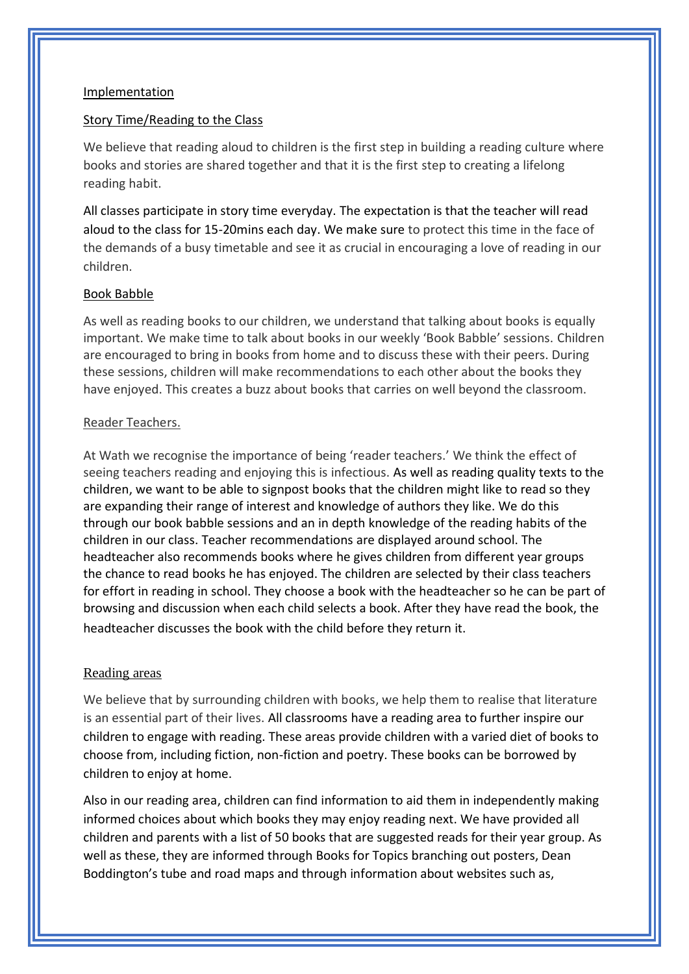#### Implementation

### Story Time/Reading to the Class

We believe that reading aloud to children is the first step in building a reading culture where books and stories are shared together and that it is the first step to creating a lifelong reading habit.

All classes participate in story time everyday. The expectation is that the teacher will read aloud to the class for 15-20mins each day. We make sure to protect this time in the face of the demands of a busy timetable and see it as crucial in encouraging a love of reading in our children.

#### Book Babble

As well as reading books to our children, we understand that talking about books is equally important. We make time to talk about books in our weekly 'Book Babble' sessions. Children are encouraged to bring in books from home and to discuss these with their peers. During these sessions, children will make recommendations to each other about the books they have enjoyed. This creates a buzz about books that carries on well beyond the classroom.

#### Reader Teachers.

At Wath we recognise the importance of being 'reader teachers.' We think the effect of seeing teachers reading and enjoying this is infectious. As well as reading quality texts to the children, we want to be able to signpost books that the children might like to read so they are expanding their range of interest and knowledge of authors they like. We do this through our book babble sessions and an in depth knowledge of the reading habits of the children in our class. Teacher recommendations are displayed around school. The headteacher also recommends books where he gives children from different year groups the chance to read books he has enjoyed. The children are selected by their class teachers for effort in reading in school. They choose a book with the headteacher so he can be part of browsing and discussion when each child selects a book. After they have read the book, the headteacher discusses the book with the child before they return it.

## Reading areas

We believe that by surrounding children with books, we help them to realise that literature is an essential part of their lives. All classrooms have a reading area to further inspire our children to engage with reading. These areas provide children with a varied diet of books to choose from, including fiction, non-fiction and poetry. These books can be borrowed by children to enjoy at home.

Also in our reading area, children can find information to aid them in independently making informed choices about which books they may enjoy reading next. We have provided all children and parents with a list of 50 books that are suggested reads for their year group. As well as these, they are informed through Books for Topics branching out posters, Dean Boddington's tube and road maps and through information about websites such as,